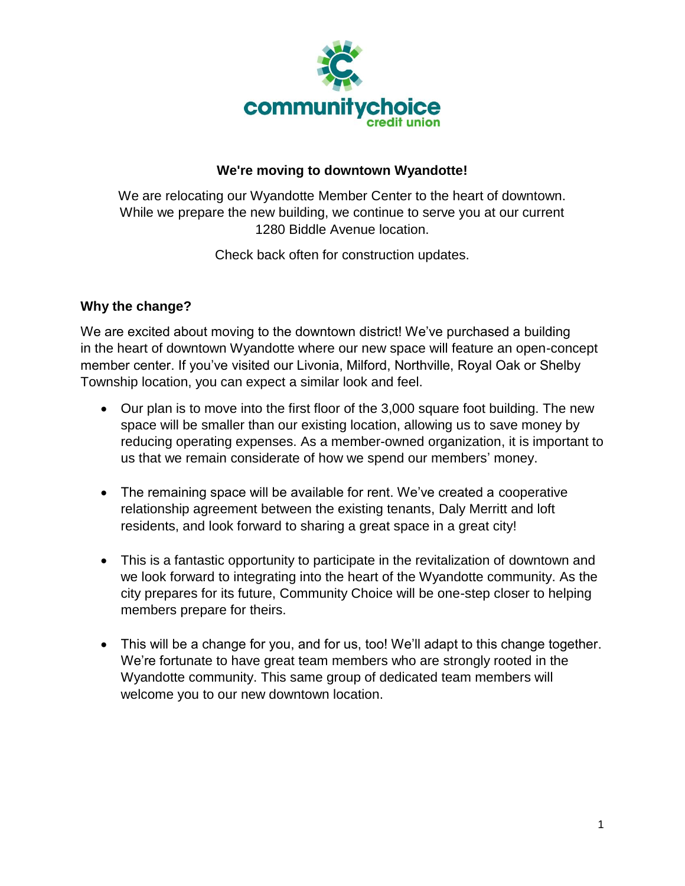

## **We're moving to downtown Wyandotte!**

We are relocating our Wyandotte Member Center to the heart of downtown. While we prepare the new building, we continue to serve you at our current 1280 Biddle Avenue location.

Check back often for construction updates.

## **Why the change?**

We are excited about moving to the downtown district! We've purchased a building in the heart of downtown Wyandotte where our new space will feature an open-concept member center. If you've visited our Livonia, Milford, Northville, Royal Oak or Shelby Township location, you can expect a similar look and feel.

- Our plan is to move into the first floor of the 3,000 square foot building. The new space will be smaller than our existing location, allowing us to save money by reducing operating expenses. As a member-owned organization, it is important to us that we remain considerate of how we spend our members' money.
- The remaining space will be available for rent. We've created a cooperative relationship agreement between the existing tenants, Daly Merritt and loft residents, and look forward to sharing a great space in a great city!
- This is a fantastic opportunity to participate in the revitalization of downtown and we look forward to integrating into the heart of the Wyandotte community. As the city prepares for its future, Community Choice will be one-step closer to helping members prepare for theirs.
- This will be a change for you, and for us, too! We'll adapt to this change together. We're fortunate to have great team members who are strongly rooted in the Wyandotte community. This same group of dedicated team members will welcome you to our new downtown location.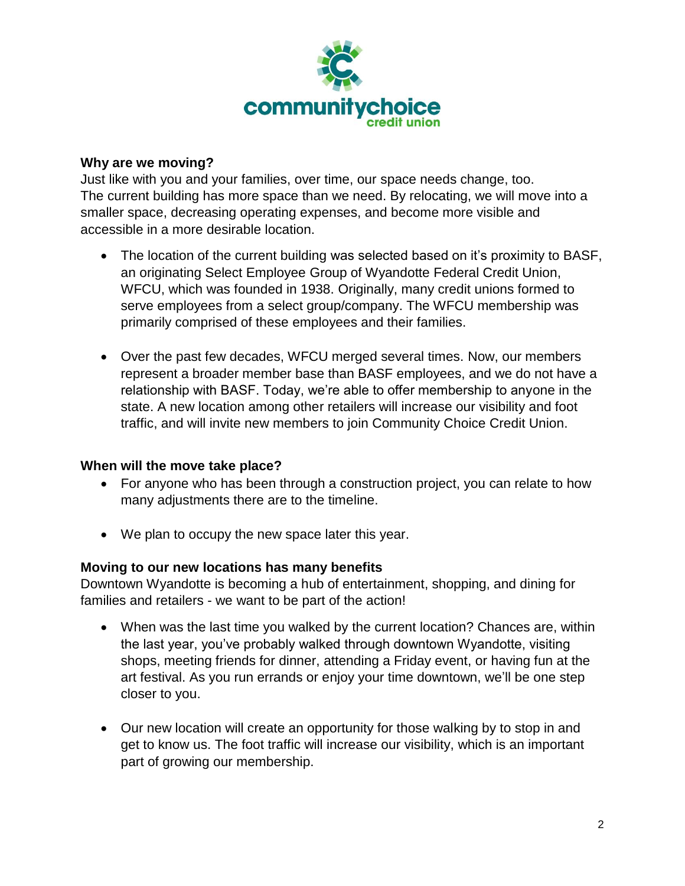

#### **Why are we moving?**

Just like with you and your families, over time, our space needs change, too. The current building has more space than we need. By relocating, we will move into a smaller space, decreasing operating expenses, and become more visible and accessible in a more desirable location.

- The location of the current building was selected based on it's proximity to BASF, an originating Select Employee Group of Wyandotte Federal Credit Union, WFCU, which was founded in 1938. Originally, many credit unions formed to serve employees from a select group/company. The WFCU membership was primarily comprised of these employees and their families.
- Over the past few decades, WFCU merged several times. Now, our members represent a broader member base than BASF employees, and we do not have a relationship with BASF. Today, we're able to offer membership to anyone in the state. A new location among other retailers will increase our visibility and foot traffic, and will invite new members to join Community Choice Credit Union.

#### **When will the move take place?**

- For anyone who has been through a construction project, you can relate to how many adjustments there are to the timeline.
- We plan to occupy the new space later this year.

#### **Moving to our new locations has many benefits**

Downtown Wyandotte is becoming a hub of entertainment, shopping, and dining for families and retailers - we want to be part of the action!

- When was the last time you walked by the current location? Chances are, within the last year, you've probably walked through downtown Wyandotte, visiting shops, meeting friends for dinner, attending a Friday event, or having fun at the art festival. As you run errands or enjoy your time downtown, we'll be one step closer to you.
- Our new location will create an opportunity for those walking by to stop in and get to know us. The foot traffic will increase our visibility, which is an important part of growing our membership.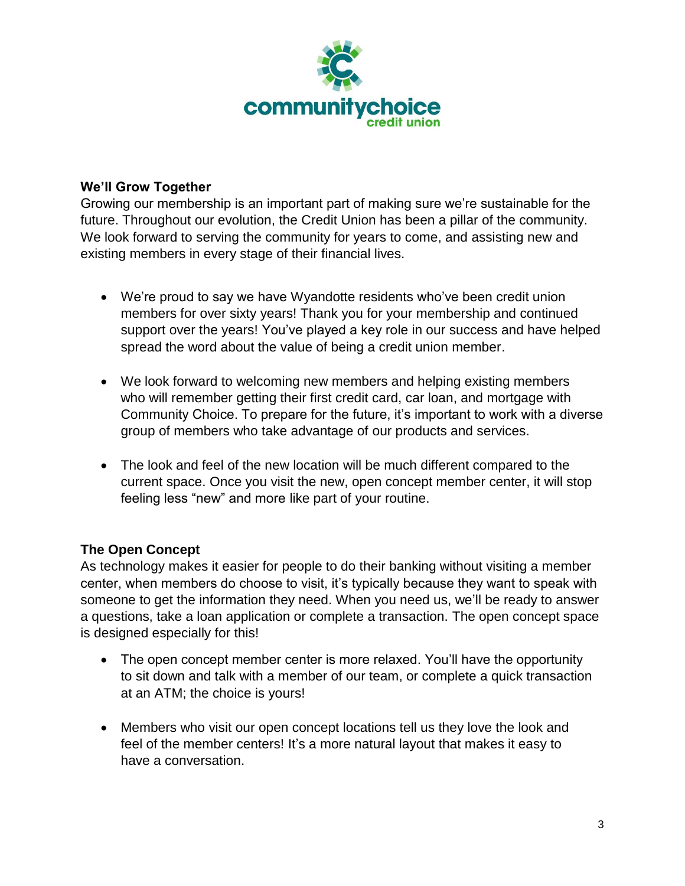

### **We'll Grow Together**

Growing our membership is an important part of making sure we're sustainable for the future. Throughout our evolution, the Credit Union has been a pillar of the community. We look forward to serving the community for years to come, and assisting new and existing members in every stage of their financial lives.

- We're proud to say we have Wyandotte residents who've been credit union members for over sixty years! Thank you for your membership and continued support over the years! You've played a key role in our success and have helped spread the word about the value of being a credit union member.
- We look forward to welcoming new members and helping existing members who will remember getting their first credit card, car loan, and mortgage with Community Choice. To prepare for the future, it's important to work with a diverse group of members who take advantage of our products and services.
- The look and feel of the new location will be much different compared to the current space. Once you visit the new, open concept member center, it will stop feeling less "new" and more like part of your routine.

## **The Open Concept**

As technology makes it easier for people to do their banking without visiting a member center, when members do choose to visit, it's typically because they want to speak with someone to get the information they need. When you need us, we'll be ready to answer a questions, take a loan application or complete a transaction. The open concept space is designed especially for this!

- The open concept member center is more relaxed. You'll have the opportunity to sit down and talk with a member of our team, or complete a quick transaction at an ATM; the choice is yours!
- Members who visit our open concept locations tell us they love the look and feel of the member centers! It's a more natural layout that makes it easy to have a conversation.